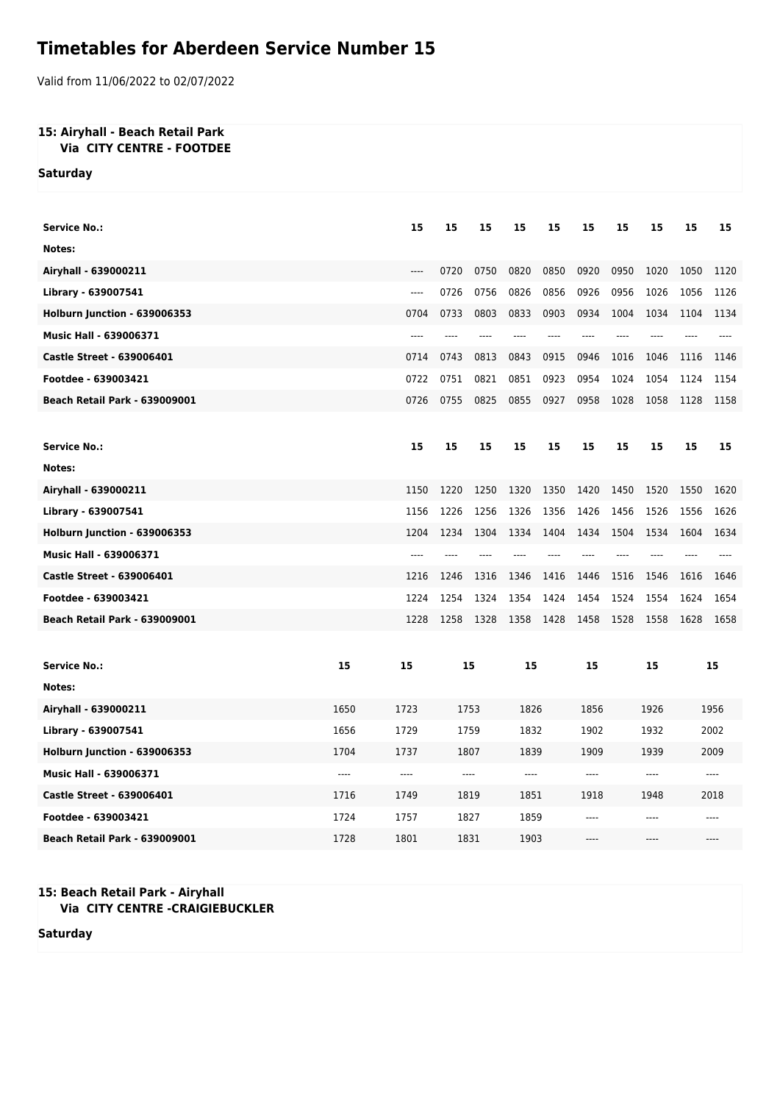## **Timetables for Aberdeen Service Number 15**

Valid from 11/06/2022 to 02/07/2022

## **15: Airyhall - Beach Retail Park Via CITY CENTRE - FOOTDEE**

**Saturday**

| <b>Service No.:</b>                  |      | 15    | 15    | 15   | 15    | 15    | 15    | 15   | 15   | 15    | 15   |  |
|--------------------------------------|------|-------|-------|------|-------|-------|-------|------|------|-------|------|--|
| Notes:                               |      |       |       |      |       |       |       |      |      |       |      |  |
| Airyhall - 639000211                 |      | $---$ | 0720  | 0750 | 0820  | 0850  | 0920  | 0950 | 1020 | 1050  | 1120 |  |
| Library - 639007541                  |      | $---$ | 0726  | 0756 | 0826  | 0856  | 0926  | 0956 | 1026 | 1056  | 1126 |  |
| Holburn Junction - 639006353         |      | 0704  | 0733  | 0803 | 0833  | 0903  | 0934  | 1004 | 1034 | 1104  | 1134 |  |
| Music Hall - 639006371               |      | $---$ | ----  | ---- | $---$ | ----  | ----  | ---- | ---- | ----  |      |  |
| <b>Castle Street - 639006401</b>     |      | 0714  | 0743  | 0813 | 0843  | 0915  | 0946  | 1016 | 1046 | 1116  | 1146 |  |
| Footdee - 639003421                  |      | 0722  | 0751  | 0821 | 0851  | 0923  | 0954  | 1024 | 1054 | 1124  | 1154 |  |
| <b>Beach Retail Park - 639009001</b> |      | 0726  | 0755  | 0825 | 0855  | 0927  | 0958  | 1028 | 1058 | 1128  | 1158 |  |
|                                      |      |       |       |      |       |       |       |      |      |       |      |  |
| <b>Service No.:</b>                  |      | 15    | 15    | 15   | 15    | 15    | 15    | 15   | 15   | 15    | 15   |  |
| Notes:                               |      |       |       |      |       |       |       |      |      |       |      |  |
| Airyhall - 639000211                 |      | 1150  | 1220  | 1250 | 1320  | 1350  | 1420  | 1450 | 1520 | 1550  | 1620 |  |
| Library - 639007541                  |      | 1156  | 1226  | 1256 | 1326  | 1356  | 1426  | 1456 | 1526 | 1556  | 1626 |  |
| Holburn Junction - 639006353         |      | 1204  | 1234  | 1304 | 1334  | 1404  | 1434  | 1504 | 1534 | 1604  | 1634 |  |
| <b>Music Hall - 639006371</b>        |      | $---$ | ----  |      |       | $---$ | $---$ | ---- |      |       |      |  |
| <b>Castle Street - 639006401</b>     |      | 1216  | 1246  | 1316 | 1346  | 1416  | 1446  | 1516 | 1546 | 1616  | 1646 |  |
| Footdee - 639003421                  |      | 1224  | 1254  | 1324 | 1354  | 1424  | 1454  | 1524 | 1554 | 1624  | 1654 |  |
| <b>Beach Retail Park - 639009001</b> |      | 1228  | 1258  | 1328 | 1358  | 1428  | 1458  | 1528 | 1558 | 1628  | 1658 |  |
|                                      |      |       |       |      |       |       |       |      |      |       |      |  |
| <b>Service No.:</b>                  | 15   | 15    | 15    |      | 15    |       | 15    |      | 15   |       | 15   |  |
| Notes:                               |      |       |       |      |       |       |       |      |      |       |      |  |
| Airyhall - 639000211                 | 1650 | 1723  | 1753  |      | 1826  |       | 1856  |      | 1926 |       | 1956 |  |
| Library - 639007541                  | 1656 | 1729  | 1759  |      | 1832  |       | 1902  |      | 1932 |       | 2002 |  |
| Holburn Junction - 639006353         | 1704 | 1737  | 1807  |      | 1839  |       | 1909  | 1939 |      | 2009  |      |  |
| <b>Music Hall - 639006371</b>        | ---- | ----  | $---$ |      | ----  |       | ----  | ---- |      | $---$ |      |  |
| <b>Castle Street - 639006401</b>     | 1716 | 1749  | 1819  |      | 1851  |       | 1918  | 1948 |      | 2018  |      |  |
| Footdee - 639003421                  | 1724 | 1757  | 1827  |      | 1859  |       | ----  | ---- |      | ----  |      |  |
| Beach Retail Park - 639009001        | 1728 | 1801  | 1831  |      | 1903  |       | ----  |      | ---- |       |      |  |

## **15: Beach Retail Park - Airyhall Via CITY CENTRE -CRAIGIEBUCKLER**

**Saturday**